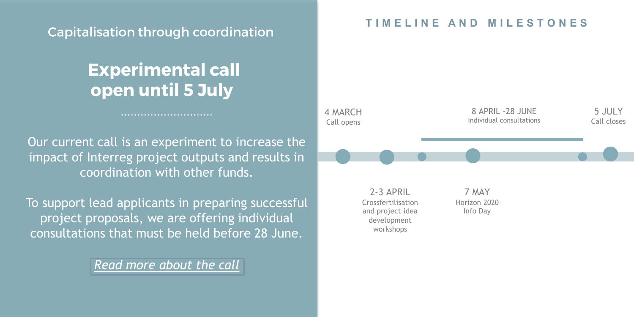### Capitalisation through coordination

## **Experimental call** open until 5 July

Our current call is an experiment to increase the impact of Interreg project outputs and results in coordination with other funds.

To support lead applicants in preparing successful project proposals, we are offering individual consultations that must be held before 28 June.

*[Read more about the call](https://www.interreg-central.eu/Content.Node/apply/apply.html)*

### **T I M E L I N E A N D M I L E S T O N E S**

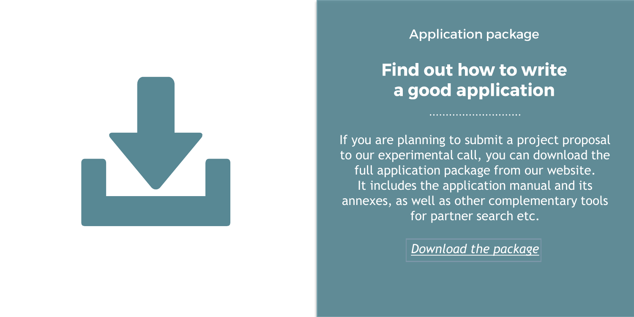

**Application package** 

### **Find out how to write** a good application

If you are planning to submit a project proposal to our experimental call, you can download the full application package from our website. It includes the application manual and its annexes, as well as other complementary tools for partner search etc.

*[Download the package](https://www.interreg-central.eu/Content.Node/apply/apply.html#Documents)*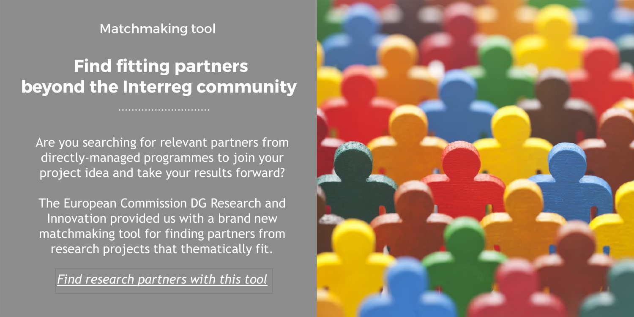**Matchmaking tool** 

# **Find fitting partners** beyond the Interreg community

Are you searching for relevant partners from directly-managed programmes to join your project idea and take your results forward?

The European Commission DG Research and Innovation provided us with a brand new matchmaking tool for finding partners from research projects that thematically fit.

*[Find research partners with this tool](https://www.interreg-central.eu/Content.Node/apply/apply.html#Documents)*

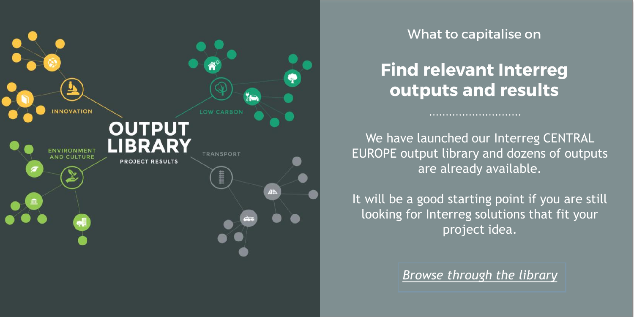

What to capitalise on

### **Find relevant Interreg** outputs and results

We have launched our Interreg CENTRAL EUROPE output library and dozens of outputs are already available.

It will be a good starting point if you are still looking for Interreg solutions that fit your project idea.

*[Browse through](https://www.interreg-central.eu/Content.Node/discover/Output-Library.html) the library*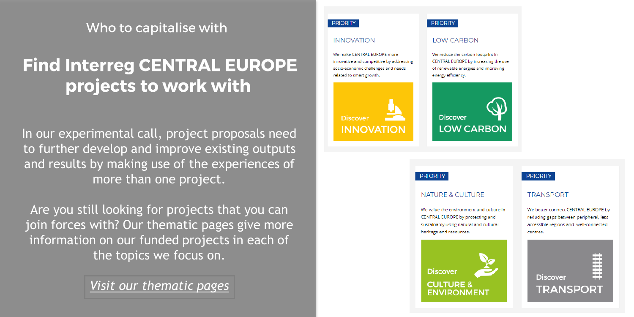Who to capitalise with

# **Find Interreg CENTRAL EUROPE** projects to work with

In our experimental call, project proposals need to further develop and improve existing outputs and results by making use of the experiences of more than one project.

Are you still looking for projects that you can join forces with? Our thematic pages give more information on our funded projects in each of the topics we focus on.

*[Visit our thematic pages](https://www.interreg-central.eu/Content.Node/discover/programme.html#Priorities)*

#### **PRIORITY**

#### **INNOVATION**

We make CENTRAL EUROPE more innovative and competitive by addressing socio-economic challenges and needs related to smart growth.

**INNOVATION** 

#### **PRIORITY**

#### **LOW CARBON**

We reduce the carbon footprint in CENTRAL EUROPE by increasing the use of renewable energies and improving energy efficiency.



#### **PRIORITY**

#### NATURE & CULTURE

**PRIORITY** 

We value the environment and culture in CENTRAL EUROPE by protecting and sustainably using natural and cultural heritage and resources.



#### **TRANSPORT**

We better connect CENTRAL EUROPE by reducing gaps between peripheral, less accessible regions and well-connected centres

| <b>Discover</b> |  |
|-----------------|--|
| TRANSPORT       |  |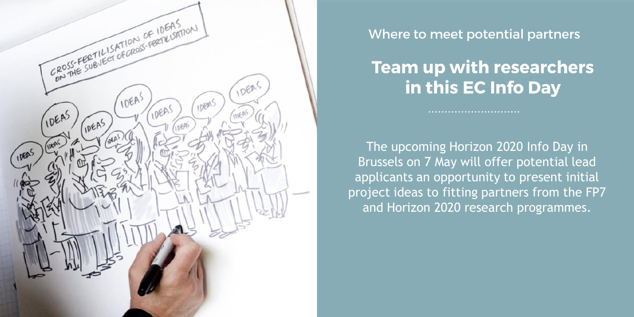

Where to meet potential partners

## **Team up with researchers** in this EC Info Day

The upcoming Horizon 2020 Info Day in Brussels on 7 May will offer potential lead applicants an opportunity to present initial project ideas to fitting partners from the FP7 and Horizon 2020 research programmes.